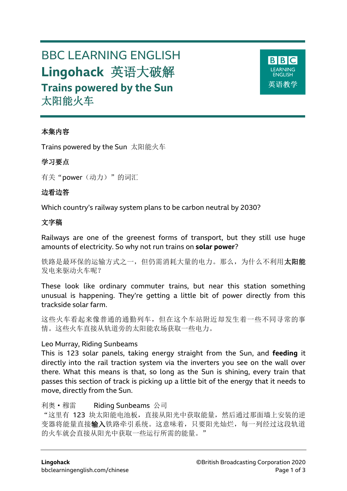# BBC LEARNING ENGLISH **Lingohack** 英语大破解 **Trains powered by the Sun** 太阳能火车



# 本集内容

Trains powered by the Sun 太阳能火车

## 学习要点

有关"power(动力)"的词汇

# 边看边答

Which country's railway system plans to be carbon neutral by 2030?

# 文字稿

Railways are one of the greenest forms of transport, but they still use huge amounts of electricity. So why not run trains on **solar power**?

铁路是最环保的运输方式之一,但仍需消耗大量的电力。那么,为什么不利用太阳能 发电来驱动火车呢?

These look like ordinary commuter trains, but near this station something unusual is happening. They're getting a little bit of power directly from this trackside solar farm.

这些火车看起来像普通的通勤列车,但在这个车站附近却发生着一些不同寻常的事 情。这些火车直接从轨道旁的太阳能农场获取一些电力。

## Leo Murray, Riding Sunbeams

This is 123 solar panels, taking energy straight from the Sun, and **feeding** it directly into the rail traction system via the inverters you see on the wall over there. What this means is that, so long as the Sun is shining, every train that passes this section of track is picking up a little bit of the energy that it needs to move, directly from the Sun.

## 利奥·穆雷 Riding Sunbeams 公司

"这里有 123 块太阳能电池板,直接从阳光中获取能量,然后通过那面墙上安装的逆 变器将能量直接输入铁路牵引系统。这意味着,只要阳光灿烂,每一列经过这段轨道 的火车就会直接从阳光中获取一些运行所需的能量。"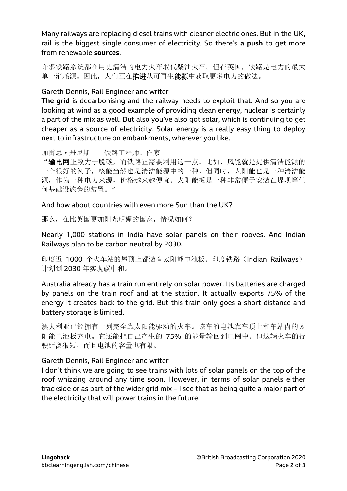Many railways are replacing diesel trains with cleaner electric ones. But in the UK, rail is the biggest single consumer of electricity. So there's **a push** to get more from renewable **sources**.

许多铁路系统都在用更清洁的电力火车取代柴油火车。但在英国,铁路是电力的最大 单一消耗源。因此,人们正在推进从可再生能源中获取更多电力的做法。

## Gareth Dennis, Rail Engineer and writer

**The grid** is decarbonising and the railway needs to exploit that. And so you are looking at wind as a good example of providing clean energy, nuclear is certainly a part of the mix as well. But also you've also got solar, which is continuing to get cheaper as a source of electricity. Solar energy is a really easy thing to deploy next to infrastructure on embankments, wherever you like.

加雷思·丹尼斯 铁路工程师、作家

"输电网正致力于脱碳,而铁路正需要利用这一点。比如,风能就是提供清洁能源的 一个很好的例子,核能当然也是清洁能源中的一种。但同时,太阳能也是一种清洁能 源,作为一种电力来源,价格越来越便宜。太阳能板是一种非常便于安装在堤坝等任 何基础设施旁的装置。"

#### And how about countries with even more Sun than the UK?

那么,在比英国更加阳光明媚的国家,情况如何?

Nearly 1,000 stations in India have solar panels on their rooves. And Indian Railways plan to be carbon neutral by 2030.

印度近 1000 个火车站的屋顶上都装有太阳能电池板。印度铁路(Indian Railways) 计划到 2030 年实现碳中和。

Australia already has a train run entirely on solar power. Its batteries are charged by panels on the train roof and at the station. It actually exports 75% of the energy it creates back to the grid. But this train only goes a short distance and battery storage is limited.

澳大利亚已经拥有一列完全靠太阳能驱动的火车。该车的电池靠车顶上和车站内的太 阳能电池板充电。它还能把自己产生的 75% 的能量输回到电网中。但这辆火车的行 驶距离很短,而且电池的容量也有限。

## Gareth Dennis, Rail Engineer and writer

I don't think we are going to see trains with lots of solar panels on the top of the roof whizzing around any time soon. However, in terms of solar panels either trackside or as part of the wider grid mix – I see that as being quite a major part of the electricity that will power trains in the future.